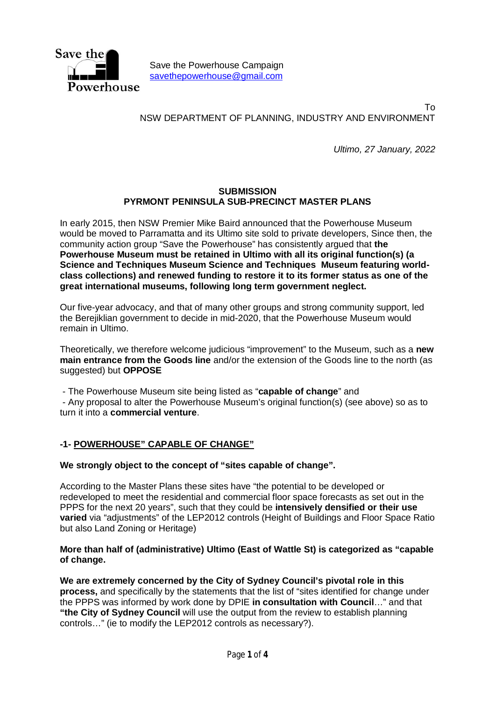

Save the Powerhouse Campaign savethepowerhouse@gmail.com

To NSW DEPARTMENT OF PLANNING, INDUSTRY AND ENVIRONMENT

*Ultimo, 27 January, 2022*

#### **SUBMISSION PYRMONT PENINSULA SUB-PRECINCT MASTER PLANS**

In early 2015, then NSW Premier Mike Baird announced that the Powerhouse Museum would be moved to Parramatta and its Ultimo site sold to private developers, Since then, the community action group "Save the Powerhouse" has consistently argued that **the Powerhouse Museum must be retained in Ultimo with all its original function(s) (a Science and Techniques Museum Science and Techniques Museum featuring worldclass collections) and renewed funding to restore it to its former status as one of the great international museums, following long term government neglect.**

Our five-year advocacy, and that of many other groups and strong community support, led the Berejiklian government to decide in mid-2020, that the Powerhouse Museum would remain in Ultimo.

Theoretically, we therefore welcome judicious "improvement" to the Museum, such as a **new main entrance from the Goods line** and/or the extension of the Goods line to the north (as suggested) but **OPPOSE** 

- The Powerhouse Museum site being listed as "**capable of change**" and

- Any proposal to alter the Powerhouse Museum's original function(s) (see above) so as to turn it into a **commercial venture**.

### **-1- POWERHOUSE" CAPABLE OF CHANGE"**

### **We strongly object to the concept of "sites capable of change".**

According to the Master Plans these sites have "the potential to be developed or redeveloped to meet the residential and commercial floor space forecasts as set out in the PPPS for the next 20 years", such that they could be **intensively densified or their use varied** via "adjustments" of the LEP2012 controls (Height of Buildings and Floor Space Ratio but also Land Zoning or Heritage)

#### **More than half of (administrative) Ultimo (East of Wattle St) is categorized as "capable of change.**

**We are extremely concerned by the City of Sydney Council's pivotal role in this process,** and specifically by the statements that the list of "sites identified for change under the PPPS was informed by work done by DPIE **in consultation with Council**…" and that **"the City of Sydney Council** will use the output from the review to establish planning controls…" (ie to modify the LEP2012 controls as necessary?).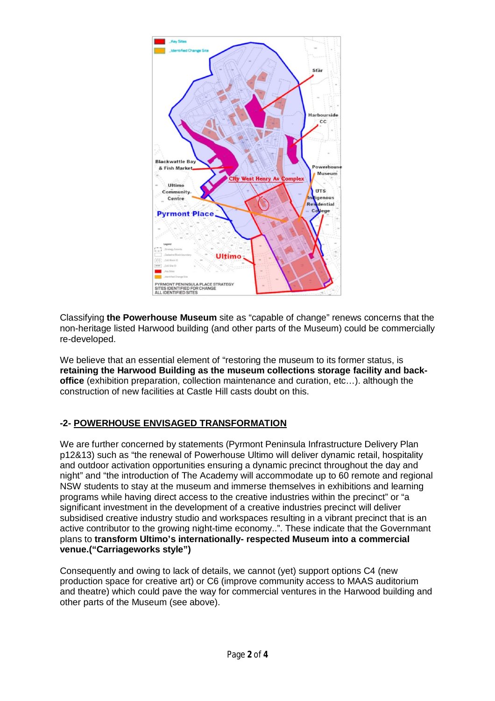

Classifying **the Powerhouse Museum** site as "capable of change" renews concerns that the non-heritage listed Harwood building (and other parts of the Museum) could be commercially re-developed.

We believe that an essential element of "restoring the museum to its former status, is **retaining the Harwood Building as the museum collections storage facility and backoffice** (exhibition preparation, collection maintenance and curation, etc…). although the construction of new facilities at Castle Hill casts doubt on this.

# **-2- POWERHOUSE ENVISAGED TRANSFORMATION**

We are further concerned by statements (Pyrmont Peninsula Infrastructure Delivery Plan p12&13) such as "the renewal of Powerhouse Ultimo will deliver dynamic retail, hospitality and outdoor activation opportunities ensuring a dynamic precinct throughout the day and night" and "the introduction of The Academy will accommodate up to 60 remote and regional NSW students to stay at the museum and immerse themselves in exhibitions and learning programs while having direct access to the creative industries within the precinct" or "a significant investment in the development of a creative industries precinct will deliver subsidised creative industry studio and workspaces resulting in a vibrant precinct that is an active contributor to the growing night-time economy..". These indicate that the Governmant plans to **transform Ultimo's internationally- respected Museum into a commercial venue.("Carriageworks style")**

Consequently and owing to lack of details, we cannot (yet) support options C4 (new production space for creative art) or C6 (improve community access to MAAS auditorium and theatre) which could pave the way for commercial ventures in the Harwood building and other parts of the Museum (see above).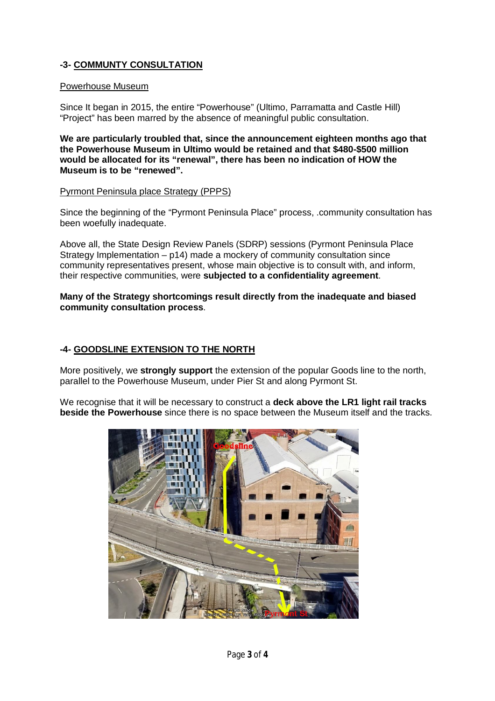# **-3- COMMUNTY CONSULTATION**

### Powerhouse Museum

Since It began in 2015, the entire "Powerhouse" (Ultimo, Parramatta and Castle Hill) "Project" has been marred by the absence of meaningful public consultation.

**We are particularly troubled that, since the announcement eighteen months ago that the Powerhouse Museum in Ultimo would be retained and that \$480-\$500 million would be allocated for its "renewal", there has been no indication of HOW the Museum is to be "renewed".**

### Pyrmont Peninsula place Strategy (PPPS)

Since the beginning of the "Pyrmont Peninsula Place" process, .community consultation has been woefully inadequate.

Above all, the State Design Review Panels (SDRP) sessions (Pyrmont Peninsula Place Strategy Implementation – p14) made a mockery of community consultation since community representatives present, whose main objective is to consult with, and inform, their respective communities, were **subjected to a confidentiality agreement**.

**Many of the Strategy shortcomings result directly from the inadequate and biased community consultation process**.

### **-4- GOODSLINE EXTENSION TO THE NORTH**

More positively, we **strongly support** the extension of the popular Goods line to the north, parallel to the Powerhouse Museum, under Pier St and along Pyrmont St.

We recognise that it will be necessary to construct a **deck above the LR1 light rail tracks beside the Powerhouse** since there is no space between the Museum itself and the tracks.